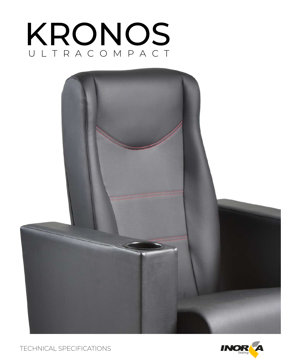# KRONOS ULTRACOMPACT



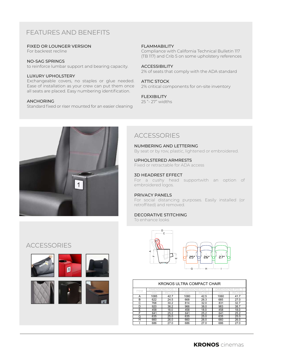# FEATURES AND BENEFITS

#### FIXED OR LOUNGER VERSION

For backrest recline

#### NO-SAG SPRINGS

to reinforce lumbar support and bearing capacity.

#### LUXURY UPHOLSTERY

Exchangeable covers, no staples or glue needed. Ease of installation as your crew can put them once all seats are placed. Easy numbering identification.

#### ANCHORING

Standard fixed or riser mounted for an easier cleaning

#### FLAMMABILITY

Compliance with California Technical Bulletin 117 (TB 117) and Crib 5 on some upholstery references

#### ACCESSIBILITY

2% of seats that comply with the ADA standard

#### ATTIC STOCK

2% critical components for on-site inventory

#### FLEXIBILITY

25 "- 27" widths



## **ACCESSORIES**

NUMBERING AND LETTERING By seat or by row, plastic, lightened or embroidered.

# UPHOLSTERED ARMRESTS

Fixed or retractable for ADA access

#### 3D HEADREST EFFECT

For a cushy head supportwith an option of embroidered logos.

#### PRIVACY PANELS

For social distancing purposes. Easily installed (or retroffited) and removed.

### DECORATIVE STITCHING

To enhance looks



| KRONOS ULTRA COMPACT CHAIR |       |      |      |      |                |      |
|----------------------------|-------|------|------|------|----------------|------|
| <b>ITEM</b>                | MENSI |      | MEN  |      | OS 3<br>) IMEN |      |
|                            | mm    | CHES | mm   | CHES | mm             | CHES |
| А                          | 1085  | 42.7 | 1080 | 42.5 | 1060           | 41.7 |
| в                          | 622   | 24.5 | 668  | 26.3 | 685            | 27.0 |
| C                          | 768   | 30.2 | 814  | 32.0 | 831            | 32.7 |
| D                          | 920   | 36.2 | 966  | 38.0 | 983            | 38.7 |
| F                          | 458   | 18.0 | 458  | 18.0 | 458            | 18.0 |
| F                          | 641   | 25.2 | 641  | 25.2 | 641            | 25.2 |
| G                          | 635   | 25.0 | 635  | 25.0 | 635            | 25.0 |
| н                          | 660   | 26.0 | 660  | 26.0 | 660            | 26.0 |
|                            | 686   | 27.0 | 686  | 27.0 | 686            | 27.0 |

## **ACCESSORIES**

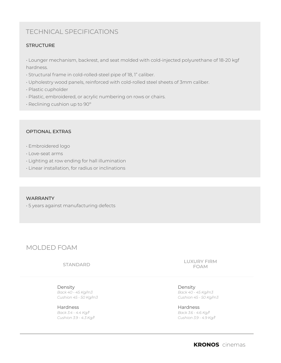# TECHNICAL SPECIFICATIONS

## **STRUCTURE**

• Lounger mechanism, backrest, and seat molded with cold-injected polyurethane of 18-20 kgf hardness.

- Structural frame in cold-rolled-steel pipe of 18, 1" caliber.
- Upholestry wood panels, reinforced with cold-rolled steel sheets of 3mm caliber.
- Plastic cupholder
- Plastic, embroidered, or acrylic numbering on rows or chairs.
- Reclining cushion up to 90º

## OPTIONAL EXTRAS

- Embroidered logo
- Love-seat arms
- Lighting at row ending for hall illumination
- Linear installation, for radius or inclinations

#### WARRANTY

• 5 years against manufacturing defects

## MOLDED FOAM

STANDARD

Density *Back 40 - 45 Kg/m3 Cushion 45 - 50 Kg/m3*

Hardness *Back 3.4 - 4.4 Kg/f Cushion 3.9 - 4.3 Kg/f* LUXURY FIRM FOAM

Density *Back 40 - 45 Kg/m3 Cushion 45 - 50 Kg/m3*

Hardness *Back 3.6 - 4.6 Kg/f Cushion 3.9 - 4.9 Kg/f*